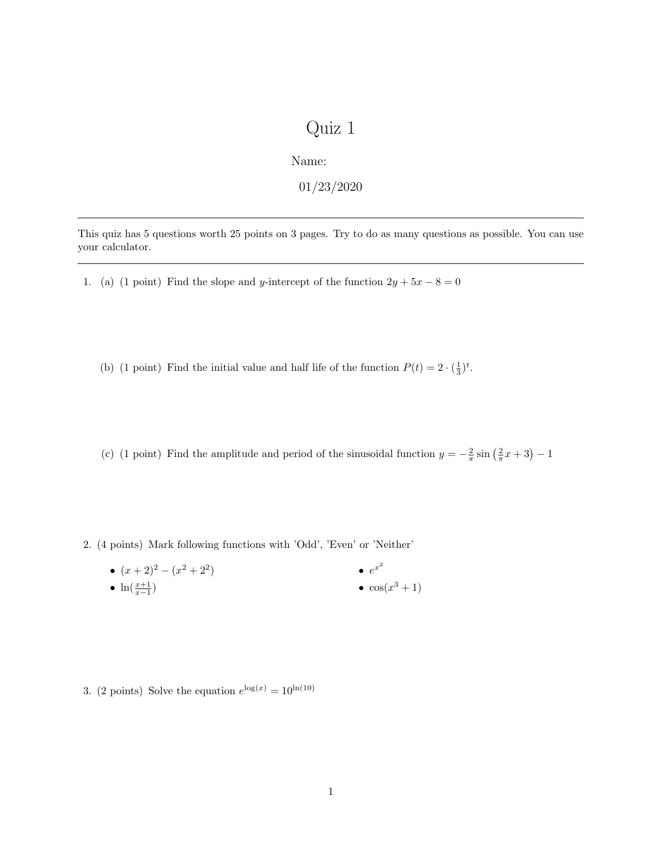## Quiz 1

Name:

01/23/2020

This quiz has 5 questions worth 25 points on 3 pages. Try to do as many questions as possible. You can use your calculator.

1. (a) (1 point) Find the slope and y-intercept of the function  $2y + 5x - 8 = 0$ 

(b) (1 point) Find the initial value and half life of the function  $P(t) = 2 \cdot (\frac{1}{3})^t$ .

(c) (1 point) Find the amplitude and period of the sinusoidal function  $y = -\frac{2}{\pi} \sin(\frac{2}{\pi}x + 3) - 1$ 

2. (4 points) Mark following functions with 'Odd', 'Even' or 'Neither'

•  $(x+2)^2 - (x^2+2^2)$ •  $\ln(\frac{x+1}{x-1})$  $e^{x^2}$  $\bullet$  cos( $x^3+1$ )

3. (2 points) Solve the equation  $e^{\log(x)} = 10^{\ln(10)}$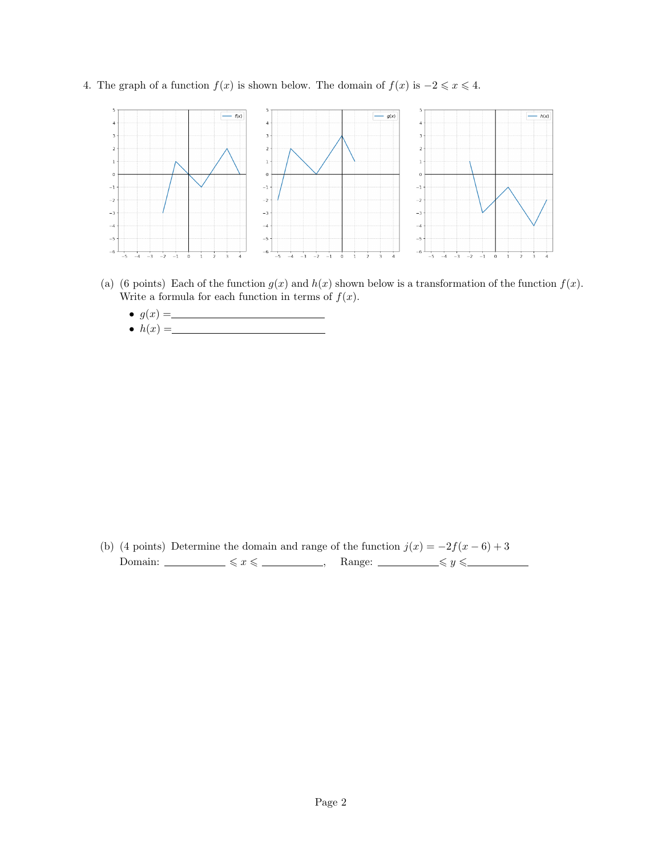4. The graph of a function  $f(x)$  is shown below. The domain of  $f(x)$  is  $-2 \leq x \leq 4$ .



- (a) (6 points) Each of the function  $g(x)$  and  $h(x)$  shown below is a transformation of the function  $f(x)$ . Write a formula for each function in terms of  $f(x)$ .
	- $\bullet$   $g(x) =$
	- $\bullet$   $h(x) =$

(b) (4 points) Determine the domain and range of the function  $j(x) = -2f(x-6) + 3$ Domain:  $\leq x \leq \leq$  Range:  $\leq \leq y \leq$